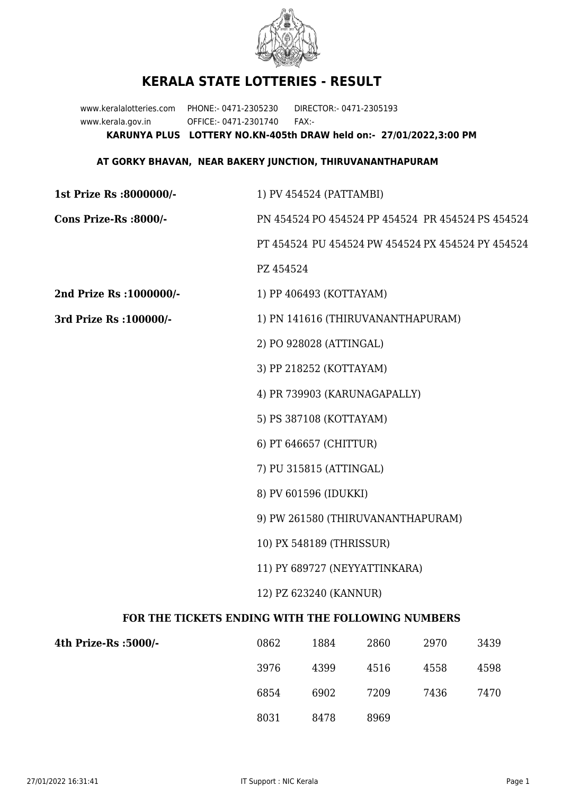

## **KERALA STATE LOTTERIES - RESULT**

www.keralalotteries.com PHONE:- 0471-2305230 DIRECTOR:- 0471-2305193 www.kerala.gov.in OFFICE:- 0471-2301740 FAX:- **KARUNYA PLUS LOTTERY NO.KN-405th DRAW held on:- 27/01/2022,3:00 PM**

## **AT GORKY BHAVAN, NEAR BAKERY JUNCTION, THIRUVANANTHAPURAM**

| 1st Prize Rs :8000000/-                           |                                                                                                                          | 1) PV 454524 (PATTAMBI) |                              |      |                                                   |  |  |
|---------------------------------------------------|--------------------------------------------------------------------------------------------------------------------------|-------------------------|------------------------------|------|---------------------------------------------------|--|--|
| Cons Prize-Rs :8000/-                             |                                                                                                                          |                         |                              |      | PN 454524 PO 454524 PP 454524 PR 454524 PS 454524 |  |  |
|                                                   |                                                                                                                          |                         |                              |      | PT 454524 PU 454524 PW 454524 PX 454524 PY 454524 |  |  |
|                                                   | PZ 454524                                                                                                                |                         |                              |      |                                                   |  |  |
| 2nd Prize Rs : 1000000/-                          |                                                                                                                          | 1) PP 406493 (KOTTAYAM) |                              |      |                                                   |  |  |
| 3rd Prize Rs : 100000/-                           | 1) PN 141616 (THIRUVANANTHAPURAM)                                                                                        |                         |                              |      |                                                   |  |  |
|                                                   |                                                                                                                          | 2) PO 928028 (ATTINGAL) |                              |      |                                                   |  |  |
|                                                   |                                                                                                                          | 3) PP 218252 (KOTTAYAM) |                              |      |                                                   |  |  |
|                                                   |                                                                                                                          |                         | 4) PR 739903 (KARUNAGAPALLY) |      |                                                   |  |  |
|                                                   |                                                                                                                          | 5) PS 387108 (KOTTAYAM) |                              |      |                                                   |  |  |
|                                                   |                                                                                                                          | 6) PT 646657 (CHITTUR)  |                              |      |                                                   |  |  |
|                                                   |                                                                                                                          | 7) PU 315815 (ATTINGAL) |                              |      |                                                   |  |  |
|                                                   |                                                                                                                          | 8) PV 601596 (IDUKKI)   |                              |      |                                                   |  |  |
|                                                   | 9) PW 261580 (THIRUVANANTHAPURAM)<br>10) PX 548189 (THRISSUR)<br>11) PY 689727 (NEYYATTINKARA)<br>12) PZ 623240 (KANNUR) |                         |                              |      |                                                   |  |  |
|                                                   |                                                                                                                          |                         |                              |      |                                                   |  |  |
|                                                   |                                                                                                                          |                         |                              |      |                                                   |  |  |
|                                                   |                                                                                                                          |                         |                              |      |                                                   |  |  |
| FOR THE TICKETS ENDING WITH THE FOLLOWING NUMBERS |                                                                                                                          |                         |                              |      |                                                   |  |  |
| 4th Prize-Rs :5000/-                              | 0862                                                                                                                     | 1884                    | 2860                         | 2970 | 3439                                              |  |  |

| 4th Prize-Rs :5000/- | 0862 | 1884 | 2860 | 2970 | 3439 |
|----------------------|------|------|------|------|------|
|                      | 3976 | 4399 | 4516 | 4558 | 4598 |
|                      | 6854 | 6902 | 7209 | 7436 | 7470 |
|                      | 8031 | 8478 | 8969 |      |      |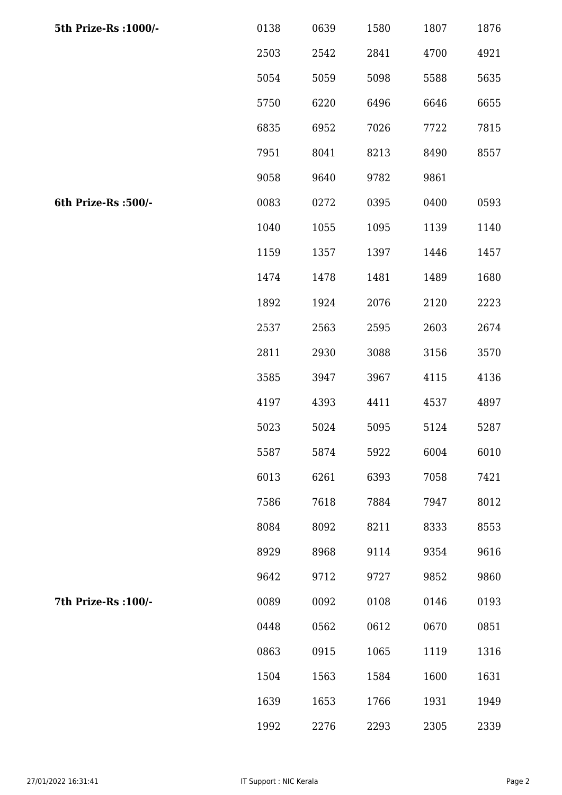| 5th Prize-Rs : 1000/- | 0138 | 0639 | 1580 | 1807 | 1876 |
|-----------------------|------|------|------|------|------|
|                       | 2503 | 2542 | 2841 | 4700 | 4921 |
|                       | 5054 | 5059 | 5098 | 5588 | 5635 |
|                       | 5750 | 6220 | 6496 | 6646 | 6655 |
|                       | 6835 | 6952 | 7026 | 7722 | 7815 |
|                       | 7951 | 8041 | 8213 | 8490 | 8557 |
|                       | 9058 | 9640 | 9782 | 9861 |      |
| 6th Prize-Rs :500/-   | 0083 | 0272 | 0395 | 0400 | 0593 |
|                       | 1040 | 1055 | 1095 | 1139 | 1140 |
|                       | 1159 | 1357 | 1397 | 1446 | 1457 |
|                       | 1474 | 1478 | 1481 | 1489 | 1680 |
|                       | 1892 | 1924 | 2076 | 2120 | 2223 |
|                       | 2537 | 2563 | 2595 | 2603 | 2674 |
|                       | 2811 | 2930 | 3088 | 3156 | 3570 |
|                       | 3585 | 3947 | 3967 | 4115 | 4136 |
|                       | 4197 | 4393 | 4411 | 4537 | 4897 |
|                       | 5023 | 5024 | 5095 | 5124 | 5287 |
|                       | 5587 | 5874 | 5922 | 6004 | 6010 |
|                       | 6013 | 6261 | 6393 | 7058 | 7421 |
|                       | 7586 | 7618 | 7884 | 7947 | 8012 |
|                       | 8084 | 8092 | 8211 | 8333 | 8553 |
|                       | 8929 | 8968 | 9114 | 9354 | 9616 |
|                       | 9642 | 9712 | 9727 | 9852 | 9860 |
| 7th Prize-Rs : 100/-  | 0089 | 0092 | 0108 | 0146 | 0193 |
|                       | 0448 | 0562 | 0612 | 0670 | 0851 |
|                       | 0863 | 0915 | 1065 | 1119 | 1316 |
|                       | 1504 | 1563 | 1584 | 1600 | 1631 |
|                       | 1639 | 1653 | 1766 | 1931 | 1949 |
|                       | 1992 | 2276 | 2293 | 2305 | 2339 |